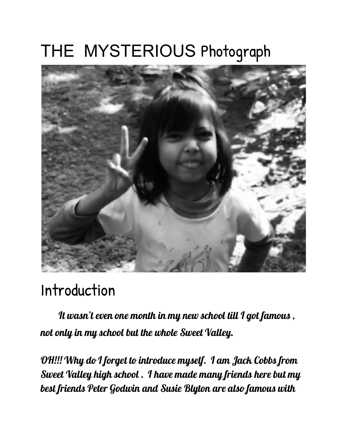## THE MYSTERIOUS Photograph



### Introduction

 It wasn't even one month in my new school till <sup>I</sup> got famous , not only in my school but the whole Sweet Valley.

OH!!! Why do I forget to introduce myself. I am Jack Cobbs from Sweet Valley high school . I have made many friends here but my best friends Peter Godwin and Susie Blyton are also famous with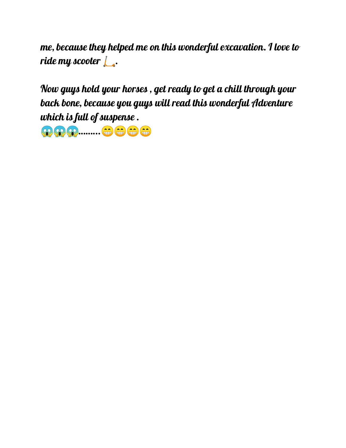me, because they helped me on this wonderful excavation. I love to ride my scooter  $\mathcal{L}_\bullet$ .

Now guys hold your horses , get ready to get a chill through your back bone, because you guys will read this wonderful Adventure which is full of suspense .

**9999 .......... <del>+3</del> +3 +3**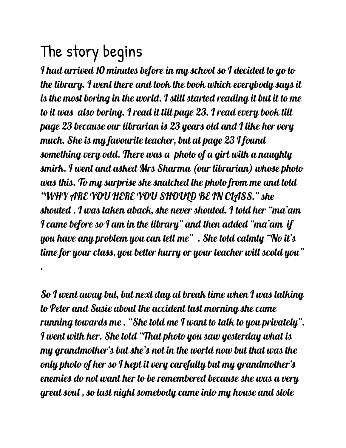## The story begins

.

I had arrived 10 minutes before in my school so I decided to go to the library. I went there and took the book which everybody says it is the most boring in the world. I still started reading it but it to me to it was also boring. I read it till page 23. I read every book till page 23 because our librarian is 23 years old and I like her very much. She is my favourite teacher, but at page 23 I found something very odd. There was a photo of a girl with a naughty smirk. I went and asked Mrs Sharma (our librarian) whose photo was this. To my surprise she snatched the photo from me and told "WHY ARE YOU HERE YOU SHOULD BE IN CLASS." she shouted . I was taken aback, she never shouted. I told her "ma'am I came before so I am in the library" and then added "ma'am if you have any problem you can tell me" . She told calmly "No it's time for your class, you better hurry or your teacher will scold you"

So I went away but, but next day at break time when I was talking to Peter and Susie about the accident last morning she came running towards me . "She told me I want to talk to you privately". I went with her. She told "That photo you saw yesterday what is my grandmother's but she's not in the world now but that was the only photo of her so I kept it very carefully but my grandmother's enemies do not want her to be remembered because she was a very great soul , so last night somebody came into my house and stole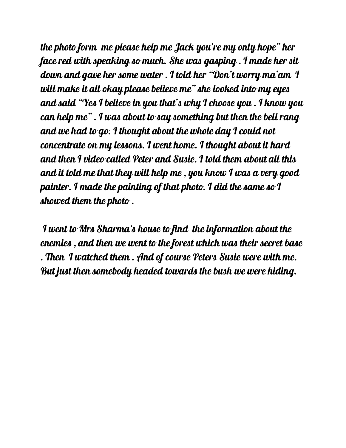the photo form me please help me Jack you're my only hope" her face red with speaking so much. She was gasping . I made her sit down and gave her some water . I told her "Don't worry ma'am I will make it all okay please believe me" she looked into my eyes and said "Yes I believe in you that's why I choose you . I know you can help me" . I was about to say something but then the bell rang and we had to go. I thought about the whole day I could not concentrate on my lessons. I went home. I thought about it hard and then I video called Peter and Susie. I told them about all this and it told me that they will help me , you know I was a very good painter. I made the painting of that photo. I did the same so I showed them the photo .

I went to Mrs Sharma's house to find the information about the enemies , and then we went to the forest which was their secret base . Then I watched them . And of course Peters Susie were with me. But just then somebody headed towards the bush we were hiding.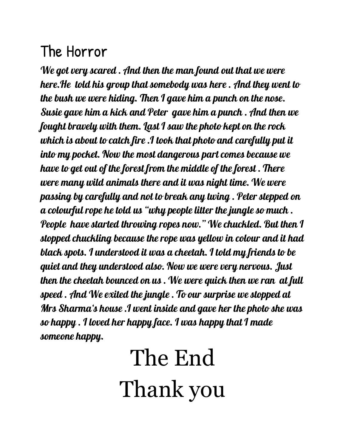### The Horror

We got very scared . And then the man found out that we were here.He told his group that somebody was here . And they went to the bush we were hiding. Then I gave him a punch on the nose. Susie gave him a kick and Peter gave him a punch . And then we fought bravely with them. Last I saw the photo kept on the rock which is about to catch fire .I took that photo and carefully put it into my pocket. Now the most dangerous part comes because we have to get out of the forest from the middle of the forest . There were many wild animals there and it was night time. We were passing by carefully and not to break any twing . Peter stepped on a colourful rope he told us "why people litter the jungle so much . People have started throwing ropes now." We chuckled. But then I stopped chuckling because the rope was yellow in colour and it had black spots. I understood it was a cheetah. I told my friends to be quiet and they understood also. Now we were very nervous. Just then the cheetah bounced on us . We were quick then we ran at full speed . And We exited the jungle . To our surprise we stopped at Mrs Sharma's house .I went inside and gave her the photo she was so happy . I loved her happy face. I was happy that I made someone happy.

# The End Thank you